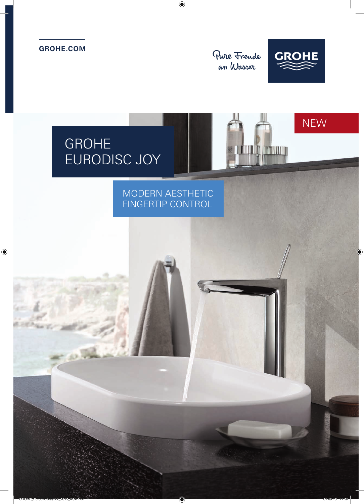**GROHE.cOm**

Pure Frende an Wasser



**MULLER** 

nEw

## **GROHE** EurOdisc JOy

## MODERN AESTHETIC FINGERTIP CONTROL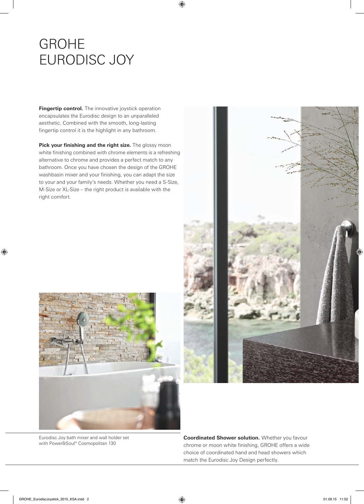## **GROHE** EurOdisc JOy

**Fingertip control.** The innovative joystick operation encapsulates the Eurodisc design to an unparalleled aesthetic. combined with the smooth, long-lasting fingertip control it is the highlight in any bathroom.

**Pick your finishing and the right size.** The glossy moon white finishing combined with chrome elements is a refreshing alternative to chrome and provides a perfect match to any bathroom. Once you have chosen the design of the GROHE washbasin mixer and your finishing, you can adapt the size to your and your family's needs. Whether you need a S-Size, M-Size or XL-Size – the right product is available with the right comfort.





Eurodisc Joy bath mixer and wall holder set with Power&Soul® Cosmopolitan 130

**Coordinated shower solution.** whether you favour chrome or moon white finishing, GrOHE offers a wide choice of coordinated hand and head showers which match the Eurodisc Joy Design perfectly.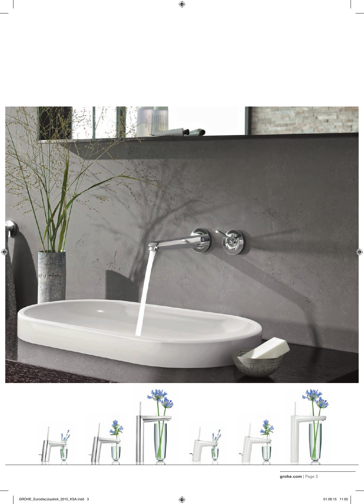

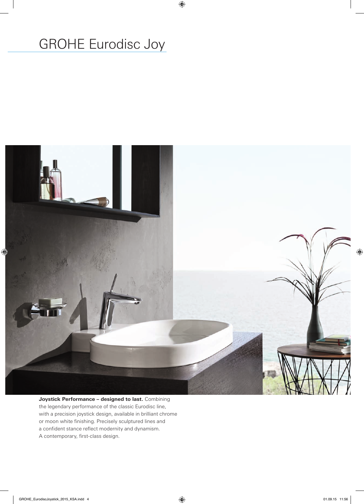## **GROHE Eurodisc Joy**



**Joystick Performance - designed to last.** Combining the legendary performance of the classic Eurodisc line, with a precision joystick design, available in brilliant chrome or moon white finishing. Precisely sculptured lines and a confident stance reflect modernity and dynamism. a contemporary, first-class design.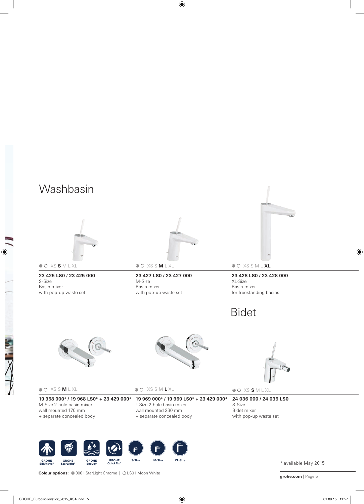## Washbasin



**OO XS S M L XL** 

**23 425 ls0 / 23 425 000**  s-size Basin mixer with pop-up waste set



**23 427 ls0 / 23 427 000** M-size Basin mixer

with pop-up waste set



**23 428 ls0 / 23 428 000** Xl-size Basin mixer for freestanding basins

Bidet



**19 968 000\* / 19 968 ls0\* + 23 429 000\*** M-size 2-hole basin mixer wall mounted 170 mm + separate concealed body



**O** SS S M L XL **C**  $\overline{O}$  XS S M L XL **C**  $\overline{O}$  XS S M L XL Xs s M **l** Xl

### **19 969 000\* / 19 969 ls0\* + 23 429 000\*** l-size 2-hole basin mixer wall mounted 230 mm + separate concealed body



**24 036 000 / 24 036 ls0** s-size Bidet mixer with pop-up waste set



**Colour options:**  $\bullet$  **000 | StarLight Chrome | OLS0 | Moon White** 

grohe.com | Page 5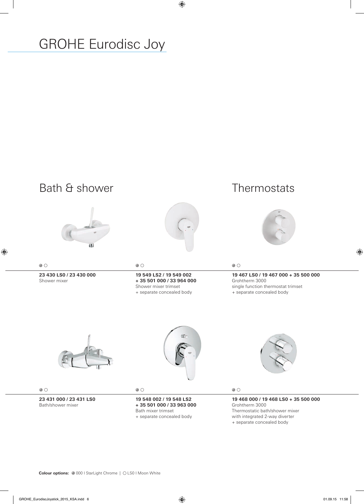## GROHE Eurodisc Joy

## Bath & shower



 $\circ$  O

## **Thermostats**



 $\bullet$  O

**23 430 ls0 / 23 430 000** shower mixer

**19 549 ls2 / 19 549 002 + 35 501 000 / 33 964 000** shower mixer trimset + separate concealed body

 $\circ$  O

**19 467 ls0 / 19 467 000 + 35 500 000** Grohtherm 3000 single function thermostat trimset + separate concealed body



**23 431 000 / 23 431 ls0**  Bath/shower mixer



 $\circ$ 

**19 548 002 / 19 548 ls2 + 35 501 000 / 33 963 000** Bath mixer trimset + separate concealed body



 $\bullet$  O

**19 468 000 / 19 468 ls0 + 35 500 000** Grohtherm 3000 Thermostatic bath/shower mixer with integrated 2-way diverter + separate concealed body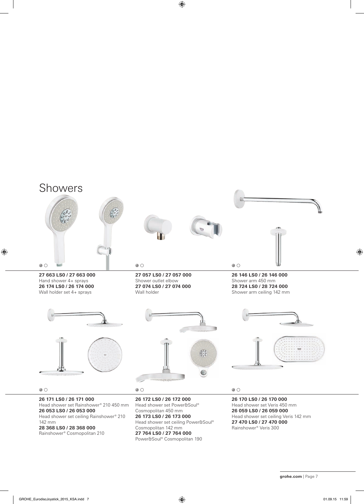

**26 174 ls0 / 26 174 000** Wall holder set 4+ sprays





### $\bullet$  O

**26 171 ls0 / 26 171 000** Head shower set Rainshower® 210 450 mm **26 053 ls0 / 26 053 000**  Head shower set ceiling Rainshower® 210 142 mm **28 368 ls0 / 28 368 000** rainshower® cosmopolitan 210

**27 074 ls0 / 27 074 000** Wall holder

**28 724 ls0 / 28 724 000**  shower arm ceiling 142 mm



### $\circ$

**26 172 ls0 / 26 172 000** Head shower set Power&Soul® cosmopolitan 450 mm **26 173 ls0 / 26 173 000**  Head shower set ceiling Power&Soul® cosmopolitan 142 mm **27 764 ls0 / 27 764 000** power&soul® cosmopolitan 190



 $\bullet$  O

### **26 170 ls0 / 26 170 000** Head shower set Veris 450 mm **26 059 ls0 / 26 059 000**  Head shower set ceiling Veris 142 mm **27 470 ls0 / 27 470 000** Rainshower® Veris 300